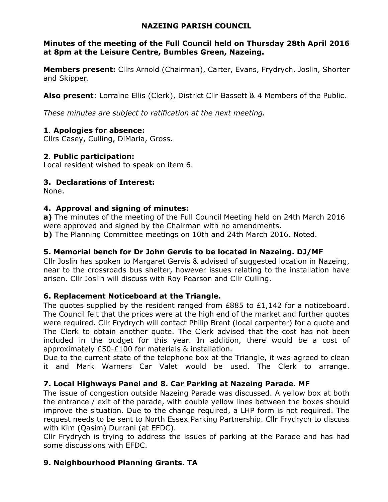#### **NAZEING PARISH COUNCIL**

#### **Minutes of the meeting of the Full Council held on Thursday 28th April 2016 at 8pm at the Leisure Centre, Bumbles Green, Nazeing.**

**Members present:** Cllrs Arnold (Chairman), Carter, Evans, Frydrych, Joslin, Shorter and Skipper.

**Also present**: Lorraine Ellis (Clerk), District Cllr Bassett & 4 Members of the Public.

*These minutes are subject to ratification at the next meeting.*

## **1**. **Apologies for absence:**

Cllrs Casey, Culling, DiMaria, Gross.

## **2**. **Public participation:**

Local resident wished to speak on item 6.

## **3. Declarations of Interest:**

None.

## **4. Approval and signing of minutes:**

**a)** The minutes of the meeting of the Full Council Meeting held on 24th March 2016 were approved and signed by the Chairman with no amendments.

**b)** The Planning Committee meetings on 10th and 24th March 2016. Noted.

## **5. Memorial bench for Dr John Gervis to be located in Nazeing. DJ/MF**

Cllr Joslin has spoken to Margaret Gervis & advised of suggested location in Nazeing, near to the crossroads bus shelter, however issues relating to the installation have arisen. Cllr Joslin will discuss with Roy Pearson and Cllr Culling.

## **6. Replacement Noticeboard at the Triangle.**

The quotes supplied by the resident ranged from £885 to £1,142 for a noticeboard. The Council felt that the prices were at the high end of the market and further quotes were required. Cllr Frydrych will contact Philip Brent (local carpenter) for a quote and The Clerk to obtain another quote. The Clerk advised that the cost has not been included in the budget for this year. In addition, there would be a cost of approximately £50-£100 for materials & installation.

Due to the current state of the telephone box at the Triangle, it was agreed to clean it and Mark Warners Car Valet would be used. The Clerk to arrange.

## **7. Local Highways Panel and 8. Car Parking at Nazeing Parade. MF**

The issue of congestion outside Nazeing Parade was discussed. A yellow box at both the entrance / exit of the parade, with double yellow lines between the boxes should improve the situation. Due to the change required, a LHP form is not required. The request needs to be sent to North Essex Parking Partnership. Cllr Frydrych to discuss with Kim (Qasim) Durrani (at EFDC).

Cllr Frydrych is trying to address the issues of parking at the Parade and has had some discussions with EFDC.

## **9. Neighbourhood Planning Grants. TA**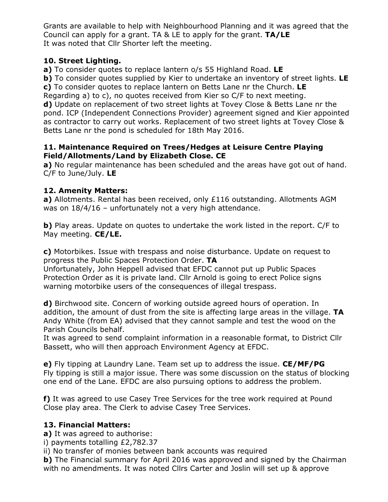Grants are available to help with Neighbourhood Planning and it was agreed that the Council can apply for a grant. TA & LE to apply for the grant. **TA/LE**  It was noted that Cllr Shorter left the meeting.

## **10. Street Lighting.**

**a)** To consider quotes to replace lantern o/s 55 Highland Road. **LE** 

**b)** To consider quotes supplied by Kier to undertake an inventory of street lights. **LE c)** To consider quotes to replace lantern on Betts Lane nr the Church. **LE** 

Regarding a) to c), no quotes received from Kier so C/F to next meeting.

**d)** Update on replacement of two street lights at Tovey Close & Betts Lane nr the pond. ICP (Independent Connections Provider) agreement signed and Kier appointed as contractor to carry out works. Replacement of two street lights at Tovey Close & Betts Lane nr the pond is scheduled for 18th May 2016.

#### **11. Maintenance Required on Trees/Hedges at Leisure Centre Playing Field/Allotments/Land by Elizabeth Close. CE**

**a)** No regular maintenance has been scheduled and the areas have got out of hand. C/F to June/July. **LE** 

## **12. Amenity Matters:**

**a)** Allotments. Rental has been received, only £116 outstanding. Allotments AGM was on 18/4/16 – unfortunately not a very high attendance.

**b)** Play areas. Update on quotes to undertake the work listed in the report. C/F to May meeting. **CE/LE.** 

**c)** Motorbikes. Issue with trespass and noise disturbance. Update on request to progress the Public Spaces Protection Order. **TA** 

Unfortunately, John Heppell advised that EFDC cannot put up Public Spaces Protection Order as it is private land. Cllr Arnold is going to erect Police signs warning motorbike users of the consequences of illegal trespass.

**d)** Birchwood site. Concern of working outside agreed hours of operation. In addition, the amount of dust from the site is affecting large areas in the village. **TA** Andy White (from EA) advised that they cannot sample and test the wood on the Parish Councils behalf.

It was agreed to send complaint information in a reasonable format, to District Cllr Bassett, who will then approach Environment Agency at EFDC.

**e)** Fly tipping at Laundry Lane. Team set up to address the issue. **CE/MF/PG**  Fly tipping is still a major issue. There was some discussion on the status of blocking one end of the Lane. EFDC are also pursuing options to address the problem.

**f)** It was agreed to use Casey Tree Services for the tree work required at Pound Close play area. The Clerk to advise Casey Tree Services.

# **13. Financial Matters:**

**a)** It was agreed to authorise:

i) payments totalling £2,782.37

ii) No transfer of monies between bank accounts was required

**b)** The Financial summary for April 2016 was approved and signed by the Chairman with no amendments. It was noted Cllrs Carter and Joslin will set up & approve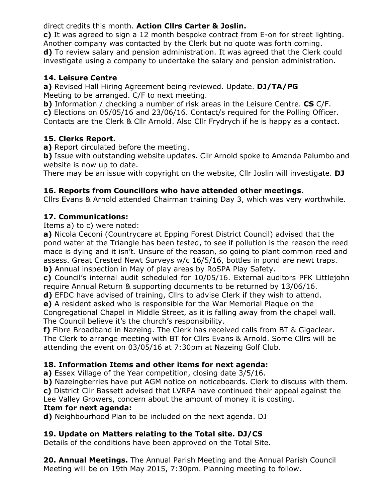direct credits this month. **Action Cllrs Carter & Joslin.** 

**c)** It was agreed to sign a 12 month bespoke contract from E-on for street lighting. Another company was contacted by the Clerk but no quote was forth coming. **d)** To review salary and pension administration. It was agreed that the Clerk could investigate using a company to undertake the salary and pension administration.

# **14. Leisure Centre**

**a)** Revised Hall Hiring Agreement being reviewed. Update. **DJ/TA/PG**  Meeting to be arranged. C/F to next meeting.

**b)** Information / checking a number of risk areas in the Leisure Centre. **CS** C/F. **c)** Elections on 05/05/16 and 23/06/16. Contact/s required for the Polling Officer. Contacts are the Clerk & Cllr Arnold. Also Cllr Frydrych if he is happy as a contact.

## **15. Clerks Report.**

**a)** Report circulated before the meeting.

**b)** Issue with outstanding website updates. Cllr Arnold spoke to Amanda Palumbo and website is now up to date.

There may be an issue with copyright on the website, Cllr Joslin will investigate. **DJ** 

## **16. Reports from Councillors who have attended other meetings.**

Cllrs Evans & Arnold attended Chairman training Day 3, which was very worthwhile.

## **17. Communications:**

Items a) to c) were noted:

**a)** Nicola Ceconi (Countrycare at Epping Forest District Council) advised that the pond water at the Triangle has been tested, to see if pollution is the reason the reed mace is dying and it isn't. Unsure of the reason, so going to plant common reed and assess. Great Crested Newt Surveys w/c 16/5/16, bottles in pond are newt traps. **b)** Annual inspection in May of play areas by RoSPA Play Safety.

**c)** Council's internal audit scheduled for 10/05/16. External auditors PFK Littlejohn require Annual Return & supporting documents to be returned by 13/06/16.

**d)** EFDC have advised of training, Cllrs to advise Clerk if they wish to attend.

**e)** A resident asked who is responsible for the War Memorial Plaque on the Congregational Chapel in Middle Street, as it is falling away from the chapel wall. The Council believe it's the church's responsibility.

**f)** Fibre Broadband in Nazeing. The Clerk has received calls from BT & Gigaclear. The Clerk to arrange meeting with BT for Cllrs Evans & Arnold. Some Cllrs will be attending the event on 03/05/16 at 7:30pm at Nazeing Golf Club.

# **18. Information Items and other items for next agenda:**

**a)** Essex Village of the Year competition, closing date 3/5/16.

**b)** Nazeingberries have put AGM notice on noticeboards. Clerk to discuss with them. **c)** District Cllr Bassett advised that LVRPA have continued their appeal against the

Lee Valley Growers, concern about the amount of money it is costing.

## **Item for next agenda:**

**d)** Neighbourhood Plan to be included on the next agenda. DJ

# **19. Update on Matters relating to the Total site. DJ/CS**

Details of the conditions have been approved on the Total Site.

**20. Annual Meetings.** The Annual Parish Meeting and the Annual Parish Council Meeting will be on 19th May 2015, 7:30pm. Planning meeting to follow.